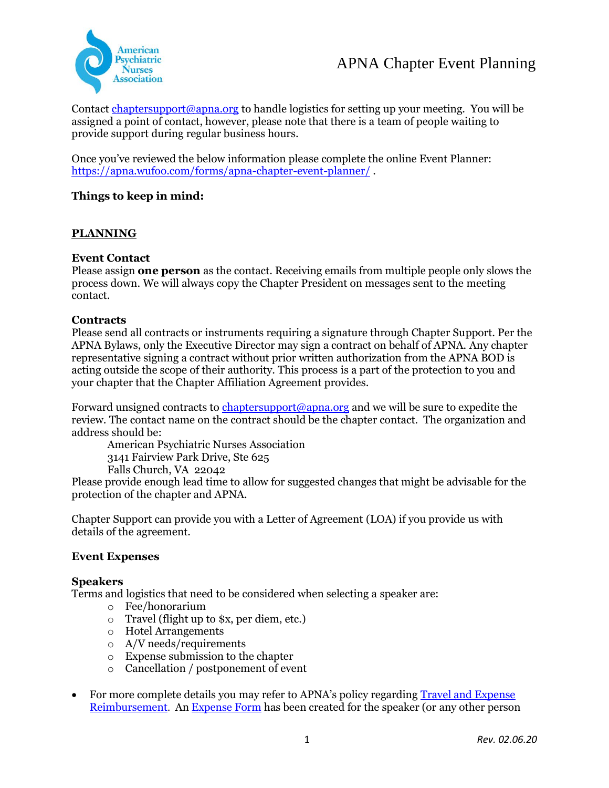

Contact chaptersupport@apna.org to handle logistics for setting up your meeting. You will be assigned a point of contact, however, please note that there is a team of people waiting to provide support during regular business hours.

Once you've reviewed the below information please complete the online Event Planner: https://apna.wufoo.com/forms/apna-chapter-event-planner/ .

# **Things to keep in mind:**

## **PLANNING**

## **Event Contact**

Please assign **one person** as the contact. Receiving emails from multiple people only slows the process down. We will always copy the Chapter President on messages sent to the meeting contact.

### **Contracts**

Please send all contracts or instruments requiring a signature through Chapter Support. Per the APNA Bylaws, only the Executive Director may sign a contract on behalf of APNA. Any chapter representative signing a contract without prior written authorization from the APNA BOD is acting outside the scope of their authority. This process is a part of the protection to you and your chapter that the Chapter Affiliation Agreement provides.

Forward unsigned contracts to chaptersupport@apna.org and we will be sure to expedite the review. The contact name on the contract should be the chapter contact. The organization and address should be:

American Psychiatric Nurses Association

3141 Fairview Park Drive, Ste 625

Falls Church, VA 22042

Please provide enough lead time to allow for suggested changes that might be advisable for the protection of the chapter and APNA.

Chapter Support can provide you with a Letter of Agreement (LOA) if you provide us with details of the agreement.

### **Event Expenses**

### **Speakers**

Terms and logistics that need to be considered when selecting a speaker are:

- o Fee/honorarium
- o Travel (flight up to \$x, per diem, etc.)
- o Hotel Arrangements
- o A/V needs/requirements
- o Expense submission to the chapter
- o Cancellation / postponement of event
- For more complete details you may refer to APNA's policy regarding **Travel and Expense** Reimbursement. An Expense Form has been created for the speaker (or any other person